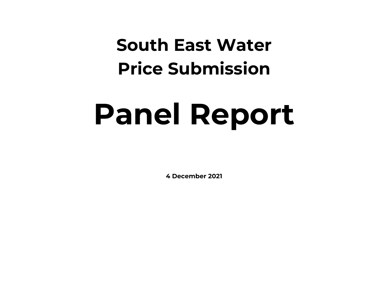## **South East Water Price Submission**

# **Panel Report**

**4 December 2021**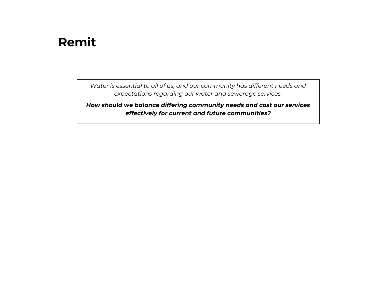### **Remit**

*Water is essential to all of us, and our community has different needs and expectations regarding our water and sewerage services.*

*How should we balance differing community needs and cost our services effectively for current and future communities?*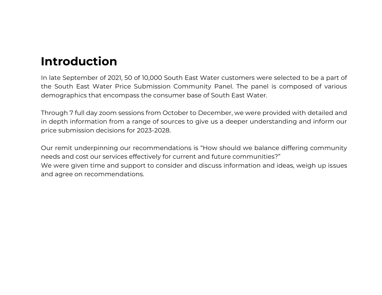## **Introduction**

In late September of 2021, 50 of 10,000 South East Water customers were selected to be a part of the South East Water Price Submission Community Panel. The panel is composed of various demographics that encompass the consumer base of South East Water.

Through 7 full day zoom sessions from October to December, we were provided with detailed and in depth information from a range of sources to give us a deeper understanding and inform our price submission decisions for 2023-2028.

Our remit underpinning our recommendations is "How should we balance differing community needs and cost our services effectively for current and future communities?" We were given time and support to consider and discuss information and ideas, weigh up issues and agree on recommendations.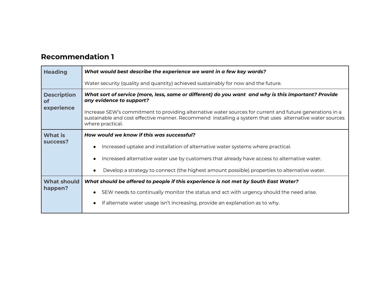| <b>Heading</b>                | What would best describe the experience we want in a few key words?                                                                                                                                                                      |
|-------------------------------|------------------------------------------------------------------------------------------------------------------------------------------------------------------------------------------------------------------------------------------|
|                               | Water security (quality and quantity) achieved sustainably for now and the future.                                                                                                                                                       |
| <b>Description</b><br>оf      | What sort of service (more, less, same or different) do you want and why is this important? Provide<br>any evidence to support?                                                                                                          |
| experience                    | Increase SEW's commitment to providing alternative water sources for current and future generations in a<br>sustainable and cost effective manner. Recommend installing a system that uses alternative water sources<br>where practical. |
| <b>What is</b>                | How would we know if this was successful?                                                                                                                                                                                                |
| success?                      | Increased uptake and installation of alternative water systems where practical.                                                                                                                                                          |
|                               | Increased alternative water use by customers that already have access to alternative water.                                                                                                                                              |
|                               | Develop a strategy to connect (the highest amount possible) properties to alternative water.                                                                                                                                             |
| <b>What should</b><br>happen? | What should be offered to people if this experience is not met by South East Water?                                                                                                                                                      |
|                               | SEW needs to continually monitor the status and act with urgency should the need arise.                                                                                                                                                  |
|                               | If alternate water usage isn't increasing, provide an explanation as to why.                                                                                                                                                             |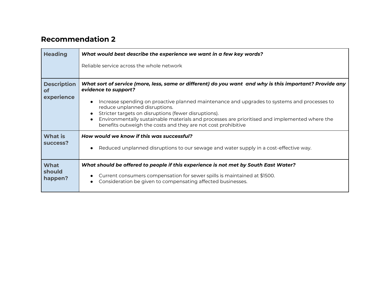| <b>Heading</b>                   | What would best describe the experience we want in a few key words?                                                                                                                                                                                                                   |
|----------------------------------|---------------------------------------------------------------------------------------------------------------------------------------------------------------------------------------------------------------------------------------------------------------------------------------|
|                                  | Reliable service across the whole network                                                                                                                                                                                                                                             |
| <b>Description</b><br><b>of</b>  | What sort of service (more, less, same or different) do you want and why is this important? Provide any<br>evidence to support?                                                                                                                                                       |
| experience                       | Increase spending on proactive planned maintenance and upgrades to systems and processes to<br>reduce unplanned disruptions.<br>Stricter targets on disruptions (fewer disruptions).<br>Environmentally sustainable materials and processes are prioritised and implemented where the |
|                                  | benefits outweigh the costs and they are not cost prohibitive                                                                                                                                                                                                                         |
| <b>What is</b><br>success?       | How would we know if this was successful?<br>Reduced unplanned disruptions to our sewage and water supply in a cost-effective way.                                                                                                                                                    |
| <b>What</b><br>should<br>happen? | What should be offered to people if this experience is not met by South East Water?<br>Current consumers compensation for sewer spills is maintained at \$1500.<br>Consideration be given to compensating affected businesses.                                                        |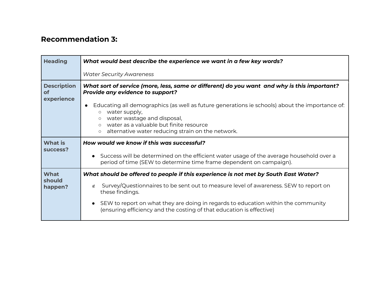| <b>Heading</b>                                | What would best describe the experience we want in a few key words?                                                                                                                                                                                                             |
|-----------------------------------------------|---------------------------------------------------------------------------------------------------------------------------------------------------------------------------------------------------------------------------------------------------------------------------------|
|                                               | <b>Water Security Awareness</b>                                                                                                                                                                                                                                                 |
| <b>Description</b><br><b>of</b><br>experience | What sort of service (more, less, same or different) do you want and why is this important?<br><b>Provide any evidence to support?</b>                                                                                                                                          |
|                                               | Educating all demographics (as well as future generations ie schools) about the importance of:<br>water supply,<br>water wastage and disposal,<br>$\circ$<br>water as a valuable but finite resource<br>$\circ$<br>alternative water reducing strain on the network.<br>$\circ$ |
| <b>What is</b><br>success?                    | How would we know if this was successful?                                                                                                                                                                                                                                       |
|                                               | • Success will be determined on the efficient water usage of the average household over a<br>period of time (SEW to determine time frame dependent on campaign).                                                                                                                |
| <b>What</b><br>should<br>happen?              | What should be offered to people if this experience is not met by South East Water?                                                                                                                                                                                             |
|                                               | Survey/Questionnaires to be sent out to measure level of awareness. SEW to report on<br>∉<br>these findings.                                                                                                                                                                    |
|                                               | • SEW to report on what they are doing in regards to education within the community                                                                                                                                                                                             |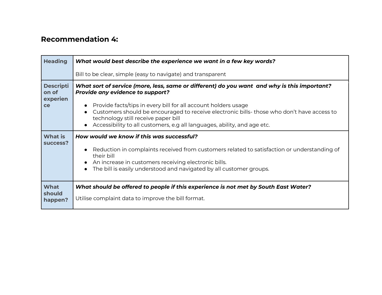| <b>Heading</b>                              | What would best describe the experience we want in a few key words?                                                                                                                                                                                                                                                                                        |
|---------------------------------------------|------------------------------------------------------------------------------------------------------------------------------------------------------------------------------------------------------------------------------------------------------------------------------------------------------------------------------------------------------------|
|                                             | Bill to be clear, simple (easy to navigate) and transparent                                                                                                                                                                                                                                                                                                |
| <b>Descripti</b><br>on of<br>experien<br>ce | What sort of service (more, less, same or different) do you want and why is this important?<br><b>Provide any evidence to support?</b><br>Provide facts/tips in every bill for all account holders usage<br>Customers should be encouraged to receive electronic bills- those who don't have access to<br>$\bullet$<br>technology still receive paper bill |
|                                             | Accessibility to all customers, e.g all languages, ability, and age etc.                                                                                                                                                                                                                                                                                   |
| <b>What is</b><br>success?                  | How would we know if this was successful?                                                                                                                                                                                                                                                                                                                  |
|                                             | Reduction in complaints received from customers related to satisfaction or understanding of<br>their bill<br>An increase in customers receiving electronic bills.<br>The bill is easily understood and navigated by all customer groups.                                                                                                                   |
| <b>What</b>                                 | What should be offered to people if this experience is not met by South East Water?                                                                                                                                                                                                                                                                        |
| should<br>happen?                           | Utilise complaint data to improve the bill format.                                                                                                                                                                                                                                                                                                         |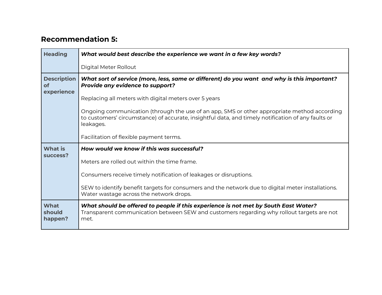| <b>Heading</b>                  | What would best describe the experience we want in a few key words?                                                                                                                                            |
|---------------------------------|----------------------------------------------------------------------------------------------------------------------------------------------------------------------------------------------------------------|
|                                 | Digital Meter Rollout                                                                                                                                                                                          |
| <b>Description</b><br><b>of</b> | What sort of service (more, less, same or different) do you want and why is this important?<br>Provide any evidence to support?                                                                                |
| experience                      | Replacing all meters with digital meters over 5 years                                                                                                                                                          |
|                                 | Ongoing communication (through the use of an app, SMS or other appropriate method according<br>to customers' circumstance) of accurate, insightful data, and timely notification of any faults or<br>leakages. |
|                                 | Facilitation of flexible payment terms.                                                                                                                                                                        |
| <b>What is</b>                  | How would we know if this was successful?                                                                                                                                                                      |
| success?                        | Meters are rolled out within the time frame.                                                                                                                                                                   |
|                                 | Consumers receive timely notification of leakages or disruptions.                                                                                                                                              |
|                                 | SEW to identify benefit targets for consumers and the network due to digital meter installations.<br>Water wastage across the network drops.                                                                   |
| What<br>should<br>happen?       | What should be offered to people if this experience is not met by South East Water?<br>Transparent communication between SEW and customers regarding why rollout targets are not<br>met.                       |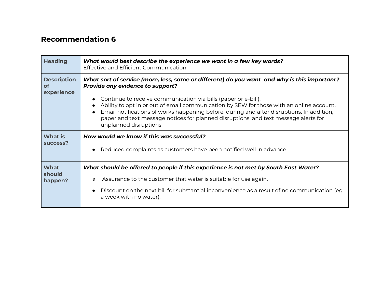| <b>Heading</b>                                | What would best describe the experience we want in a few key words?<br>Effective and Efficient Communication                                                                                                                                                                                                                                                                                                                                                                                                       |
|-----------------------------------------------|--------------------------------------------------------------------------------------------------------------------------------------------------------------------------------------------------------------------------------------------------------------------------------------------------------------------------------------------------------------------------------------------------------------------------------------------------------------------------------------------------------------------|
| <b>Description</b><br><b>of</b><br>experience | What sort of service (more, less, same or different) do you want and why is this important?<br><b>Provide any evidence to support?</b><br>Continue to receive communication via bills (paper or e-bill).<br>Ability to opt in or out of email communication by SEW for those with an online account.<br>Email notifications of works happening before, during and after disruptions. In addition,<br>paper and text message notices for planned disruptions, and text message alerts for<br>unplanned disruptions. |
| <b>What is</b><br>success?                    | How would we know if this was successful?<br>Reduced complaints as customers have been notified well in advance.<br>$\bullet$                                                                                                                                                                                                                                                                                                                                                                                      |
| What<br>should<br>happen?                     | What should be offered to people if this experience is not met by South East Water?<br>Assurance to the customer that water is suitable for use again.<br>∉<br>Discount on the next bill for substantial inconvenience as a result of no communication (eg<br>a week with no water).                                                                                                                                                                                                                               |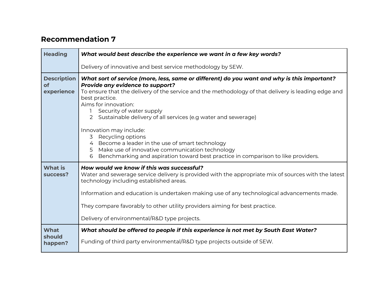| <b>Heading</b>                                | What would best describe the experience we want in a few key words?                                                                                                                                                                                                                                                                                                                                                                                                                                                                                                                                                                                        |
|-----------------------------------------------|------------------------------------------------------------------------------------------------------------------------------------------------------------------------------------------------------------------------------------------------------------------------------------------------------------------------------------------------------------------------------------------------------------------------------------------------------------------------------------------------------------------------------------------------------------------------------------------------------------------------------------------------------------|
|                                               | Delivery of innovative and best service methodology by SEW.                                                                                                                                                                                                                                                                                                                                                                                                                                                                                                                                                                                                |
| <b>Description</b><br><b>of</b><br>experience | What sort of service (more, less, same or different) do you want and why is this important?<br>Provide any evidence to support?<br>To ensure that the delivery of the service and the methodology of that delivery is leading edge and<br>best practice.<br>Aims for innovation:<br>Security of water supply<br>2 Sustainable delivery of all services (e.g water and sewerage)<br>Innovation may include:<br>Recycling options<br>3<br>Become a leader in the use of smart technology<br>$\overline{4}$<br>Make use of innovative communication technology<br>5<br>Benchmarking and aspiration toward best practice in comparison to like providers.<br>6 |
| <b>What is</b><br>success?                    | How would we know if this was successful?<br>Water and sewerage service delivery is provided with the appropriate mix of sources with the latest<br>technology including established areas.<br>Information and education is undertaken making use of any technological advancements made.<br>They compare favorably to other utility providers aiming for best practice.<br>Delivery of environmental/R&D type projects.                                                                                                                                                                                                                                   |
| <b>What</b><br>should<br>happen?              | What should be offered to people if this experience is not met by South East Water?<br>Funding of third party environmental/R&D type projects outside of SEW.                                                                                                                                                                                                                                                                                                                                                                                                                                                                                              |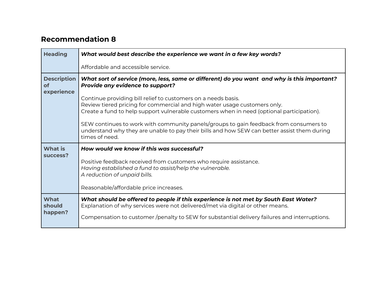| <b>Heading</b>                                | What would best describe the experience we want in a few key words?                                                                                                                                                                                                                                                                                                                                                             |
|-----------------------------------------------|---------------------------------------------------------------------------------------------------------------------------------------------------------------------------------------------------------------------------------------------------------------------------------------------------------------------------------------------------------------------------------------------------------------------------------|
|                                               | Affordable and accessible service.                                                                                                                                                                                                                                                                                                                                                                                              |
| <b>Description</b><br><b>of</b><br>experience | What sort of service (more, less, same or different) do you want and why is this important?<br><b>Provide any evidence to support?</b>                                                                                                                                                                                                                                                                                          |
|                                               | Continue providing bill relief to customers on a needs basis.<br>Review tiered pricing for commercial and high water usage customers only.<br>Create a fund to help support vulnerable customers when in need (optional participation).<br>SEW continues to work with community panels/groups to gain feedback from consumers to<br>understand why they are unable to pay their bills and how SEW can better assist them during |
|                                               | times of need.                                                                                                                                                                                                                                                                                                                                                                                                                  |
| <b>What is</b><br>success?                    | How would we know if this was successful?                                                                                                                                                                                                                                                                                                                                                                                       |
|                                               | Positive feedback received from customers who require assistance.<br>Having established a fund to assist/help the vulnerable.<br>A reduction of unpaid bills.                                                                                                                                                                                                                                                                   |
|                                               | Reasonable/affordable price increases.                                                                                                                                                                                                                                                                                                                                                                                          |
| What<br>should                                | What should be offered to people if this experience is not met by South East Water?<br>Explanation of why services were not delivered/met via digital or other means.                                                                                                                                                                                                                                                           |
| happen?                                       | Compensation to customer /penalty to SEW for substantial delivery failures and interruptions.                                                                                                                                                                                                                                                                                                                                   |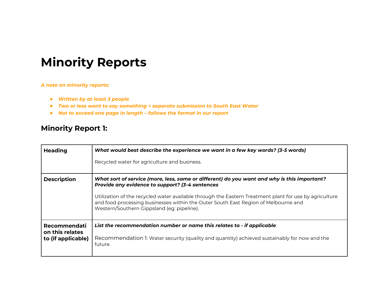## **Minority Reports**

#### *A note on minority reports:*

- *Written by at least 3 people*
- *Two or less want to say something = separate submission to South East Water*
- *Not to exceed one page in length – follows the format in our report*

#### **Minority Report 1:**

| <b>Heading</b>                  | What would best describe the experience we want in a few key words? (3-5 words)                                                                                                                                                            |
|---------------------------------|--------------------------------------------------------------------------------------------------------------------------------------------------------------------------------------------------------------------------------------------|
|                                 | Recycled water for agriculture and business.                                                                                                                                                                                               |
| <b>Description</b>              | What sort of service (more, less, same or different) do you want and why is this important?<br>Provide any evidence to support? (3-4 sentences                                                                                             |
|                                 | Utilization of the recycled water available through the Eastern Treatment plant for use by agriculture<br>and food processing businesses within the Outer South East Region of Melbourne and<br>Western/Southern Gippsland (eg: pipeline). |
| Recommendati<br>on this relates | List the recommendation number or name this relates to - if applicable.                                                                                                                                                                    |
| to (if applicable)              | Recommendation 1: Water security (quality and quantity) achieved sustainably for now and the<br>future.                                                                                                                                    |